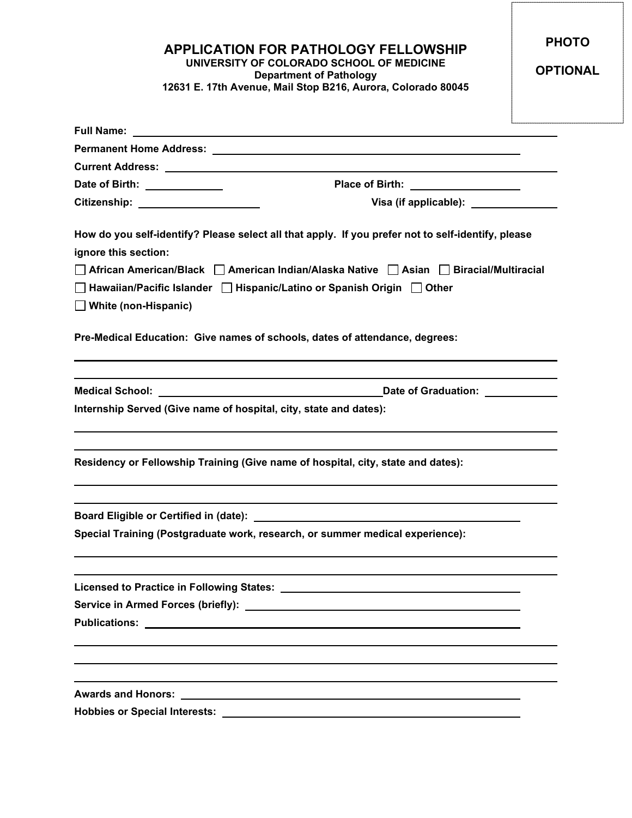**APPLICATION FOR PATHOLOGY FELLOWSHIP UNIVERSITY OF COLORADO SCHOOL OF MEDICINE Department of Pathology**

**12631 E. 17th Avenue, Mail Stop B216, Aurora, Colorado 80045**

**PHOTO**

**OPTIONAL**

| <b>Full Name:</b> The Company of the Company of the Company of the Company of the Company of the Company of the Company of the Company of the Company of the Company of the Company of the Company of the Company of the Company of |                                                                                                    |
|-------------------------------------------------------------------------------------------------------------------------------------------------------------------------------------------------------------------------------------|----------------------------------------------------------------------------------------------------|
|                                                                                                                                                                                                                                     |                                                                                                    |
|                                                                                                                                                                                                                                     |                                                                                                    |
| Date of Birth: Note of Birth:                                                                                                                                                                                                       | Place of Birth: ____________________                                                               |
| Citizenship: _____________________                                                                                                                                                                                                  | Visa (if applicable): _______________                                                              |
| ignore this section:                                                                                                                                                                                                                | How do you self-identify? Please select all that apply. If you prefer not to self-identify, please |
| □ African American/Black □ American Indian/Alaska Native □ Asian □ Biracial/Multiracial                                                                                                                                             |                                                                                                    |
| $\Box$ White (non-Hispanic)                                                                                                                                                                                                         | $\Box$ Hawaiian/Pacific Islander $\Box$ Hispanic/Latino or Spanish Origin $\Box$ Other             |
|                                                                                                                                                                                                                                     | Pre-Medical Education: Give names of schools, dates of attendance, degrees:                        |
| Medical School: <u>Cambridge Communication</u>                                                                                                                                                                                      | Date of Graduation:                                                                                |
| Internship Served (Give name of hospital, city, state and dates):                                                                                                                                                                   |                                                                                                    |
|                                                                                                                                                                                                                                     | Residency or Fellowship Training (Give name of hospital, city, state and dates):                   |
|                                                                                                                                                                                                                                     |                                                                                                    |
|                                                                                                                                                                                                                                     | Special Training (Postgraduate work, research, or summer medical experience):                      |
|                                                                                                                                                                                                                                     |                                                                                                    |
|                                                                                                                                                                                                                                     |                                                                                                    |
|                                                                                                                                                                                                                                     |                                                                                                    |
|                                                                                                                                                                                                                                     |                                                                                                    |
|                                                                                                                                                                                                                                     |                                                                                                    |
|                                                                                                                                                                                                                                     |                                                                                                    |